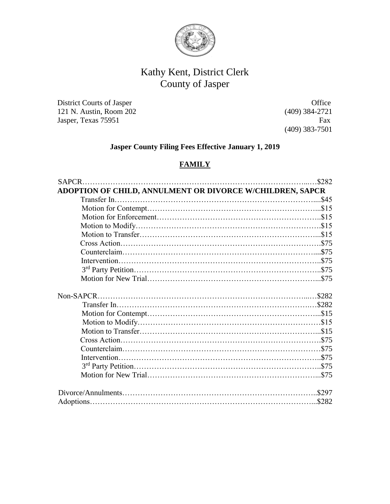

# Kathy Kent, District Clerk County of Jasper

District Courts of Jasper Office 121 N. Austin, Room 202 (409) 384-2721 Jasper, Texas 75951 Fax

(409) 383-7501

# **Jasper County Filing Fees Effective January 1, 2019**

#### **FAMILY**

| .\$282                                                    |
|-----------------------------------------------------------|
| ADOPTION OF CHILD, ANNULMENT OR DIVORCE W/CHILDREN, SAPCR |
|                                                           |
|                                                           |
|                                                           |
|                                                           |
|                                                           |
|                                                           |
|                                                           |
|                                                           |
|                                                           |
|                                                           |
|                                                           |
|                                                           |
|                                                           |
|                                                           |
|                                                           |
|                                                           |
|                                                           |
|                                                           |
|                                                           |
|                                                           |
|                                                           |
|                                                           |
|                                                           |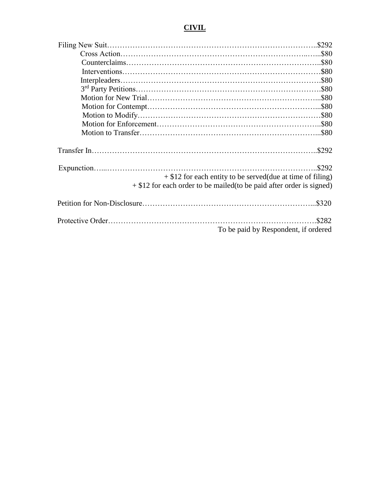# **CIVIL**

| $+$ \$12 for each entity to be served (due at time of filing)<br>$+ $12$ for each order to be mailed (to be paid after order is signed) | \$292 |
|-----------------------------------------------------------------------------------------------------------------------------------------|-------|
|                                                                                                                                         |       |
|                                                                                                                                         | \$282 |
| To be paid by Respondent, if ordered                                                                                                    |       |